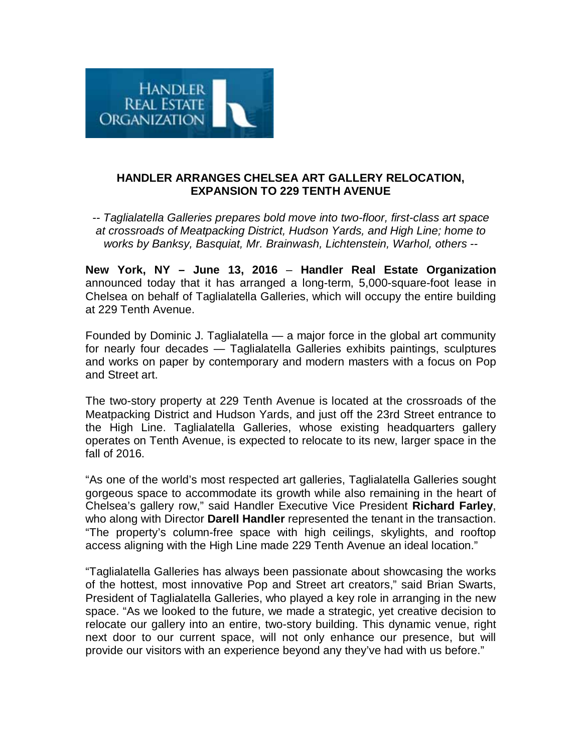

## **HANDLER ARRANGES CHELSEA ART GALLERY RELOCATION, EXPANSION TO 229 TENTH AVENUE**

*-- Taglialatella Galleries prepares bold move into two-floor, first-class art space at crossroads of Meatpacking District, Hudson Yards, and High Line; home to works by Banksy, Basquiat, Mr. Brainwash, Lichtenstein, Warhol, others --*

**New York, NY – June 13, 2016** – **Handler Real Estate Organization** announced today that it has arranged a long-term, 5,000-square-foot lease in Chelsea on behalf of Taglialatella Galleries, which will occupy the entire building at 229 Tenth Avenue.

Founded by Dominic J. Taglialatella — a major force in the global art community for nearly four decades — Taglialatella Galleries exhibits paintings, sculptures and works on paper by contemporary and modern masters with a focus on Pop and Street art.

The two-story property at 229 Tenth Avenue is located at the crossroads of the Meatpacking District and Hudson Yards, and just off the 23rd Street entrance to the High Line. Taglialatella Galleries, whose existing headquarters gallery operates on Tenth Avenue, is expected to relocate to its new, larger space in the fall of 2016.

"As one of the world's most respected art galleries, Taglialatella Galleries sought gorgeous space to accommodate its growth while also remaining in the heart of Chelsea's gallery row," said Handler Executive Vice President **Richard Farley**, who along with Director **Darell Handler** represented the tenant in the transaction. "The property's column-free space with high ceilings, skylights, and rooftop access aligning with the High Line made 229 Tenth Avenue an ideal location."

"Taglialatella Galleries has always been passionate about showcasing the works of the hottest, most innovative Pop and Street art creators," said Brian Swarts, President of Taglialatella Galleries, who played a key role in arranging in the new space. "As we looked to the future, we made a strategic, yet creative decision to relocate our gallery into an entire, two-story building. This dynamic venue, right next door to our current space, will not only enhance our presence, but will provide our visitors with an experience beyond any they've had with us before."